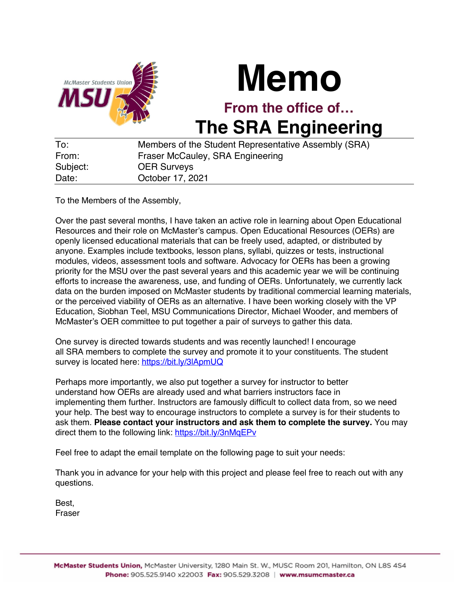

## **Memo**

**From the office of… The SRA Engineering**

| To:      | Members of the Student Representative Assembly (SRA) |
|----------|------------------------------------------------------|
| From:    | Fraser McCauley, SRA Engineering                     |
| Subject: | <b>OER Surveys</b>                                   |
| Date:    | October 17, 2021                                     |

To the Members of the Assembly,

Over the past several months, I have taken an active role in learning about Open Educational Resources and their role on McMaster's campus. Open Educational Resources (OERs) are openly licensed educational materials that can be freely used, adapted, or distributed by anyone. Examples include textbooks, lesson plans, syllabi, quizzes or tests, instructional modules, videos, assessment tools and software. Advocacy for OERs has been a growing priority for the MSU over the past several years and this academic year we will be continuing efforts to increase the awareness, use, and funding of OERs. Unfortunately, we currently lack data on the burden imposed on McMaster students by traditional commercial learning materials, or the perceived viability of OERs as an alternative. I have been working closely with the VP Education, Siobhan Teel, MSU Communications Director, Michael Wooder, and members of McMaster's OER committee to put together a pair of surveys to gather this data.

One survey is directed towards students and was recently launched! I encourage all SRA members to complete the survey and promote it to your constituents. The student survey is located here: https://bit.ly/3lApmUQ

Perhaps more importantly, we also put together a survey for instructor to better understand how OERs are already used and what barriers instructors face in implementing them further. Instructors are famously difficult to collect data from, so we need your help. The best way to encourage instructors to complete a survey is for their students to ask them. **Please contact your instructors and ask them to complete the survey.** You may direct them to the following link: https://bit.ly/3nMqEPv

Feel free to adapt the email template on the following page to suit your needs:

Thank you in advance for your help with this project and please feel free to reach out with any questions.

Best, Fraser